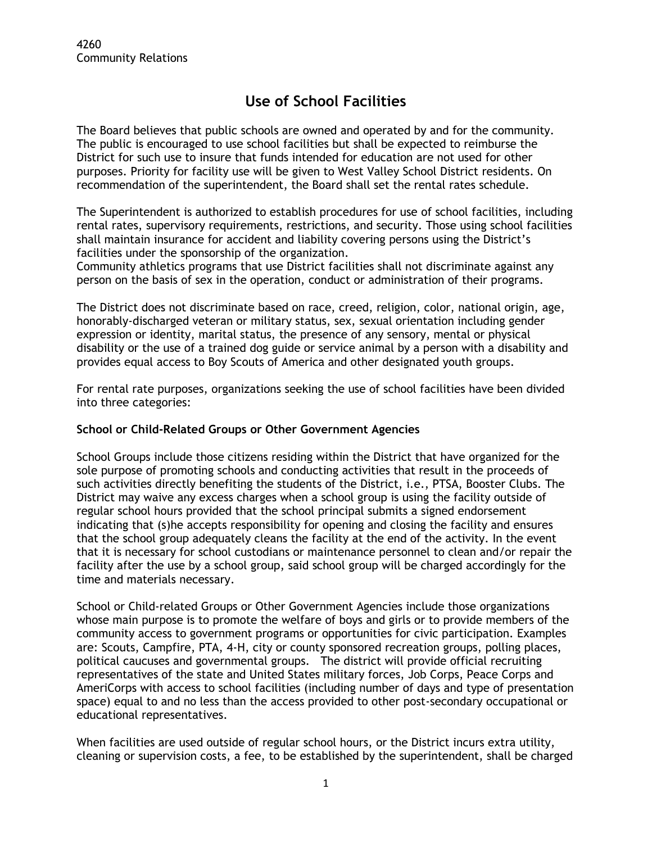## **Use of School Facilities**

The Board believes that public schools are owned and operated by and for the community. The public is encouraged to use school facilities but shall be expected to reimburse the District for such use to insure that funds intended for education are not used for other purposes. Priority for facility use will be given to West Valley School District residents. On recommendation of the superintendent, the Board shall set the rental rates schedule.

The Superintendent is authorized to establish procedures for use of school facilities, including rental rates, supervisory requirements, restrictions, and security. Those using school facilities shall maintain insurance for accident and liability covering persons using the District's facilities under the sponsorship of the organization.

Community athletics programs that use District facilities shall not discriminate against any person on the basis of sex in the operation, conduct or administration of their programs.

The District does not discriminate based on race, creed, religion, color, national origin, age, honorably-discharged veteran or military status, sex, sexual orientation including gender expression or identity, marital status, the presence of any sensory, mental or physical disability or the use of a trained dog guide or service animal by a person with a disability and provides equal access to Boy Scouts of America and other designated youth groups.

For rental rate purposes, organizations seeking the use of school facilities have been divided into three categories:

## **School or Child-Related Groups or Other Government Agencies**

School Groups include those citizens residing within the District that have organized for the sole purpose of promoting schools and conducting activities that result in the proceeds of such activities directly benefiting the students of the District, i.e., PTSA, Booster Clubs. The District may waive any excess charges when a school group is using the facility outside of regular school hours provided that the school principal submits a signed endorsement indicating that (s)he accepts responsibility for opening and closing the facility and ensures that the school group adequately cleans the facility at the end of the activity. In the event that it is necessary for school custodians or maintenance personnel to clean and/or repair the facility after the use by a school group, said school group will be charged accordingly for the time and materials necessary.

School or Child-related Groups or Other Government Agencies include those organizations whose main purpose is to promote the welfare of boys and girls or to provide members of the community access to government programs or opportunities for civic participation. Examples are: Scouts, Campfire, PTA, 4-H, city or county sponsored recreation groups, polling places, political caucuses and governmental groups. The district will provide official recruiting representatives of the state and United States military forces, Job Corps, Peace Corps and AmeriCorps with access to school facilities (including number of days and type of presentation space) equal to and no less than the access provided to other post-secondary occupational or educational representatives.

When facilities are used outside of regular school hours, or the District incurs extra utility, cleaning or supervision costs, a fee, to be established by the superintendent, shall be charged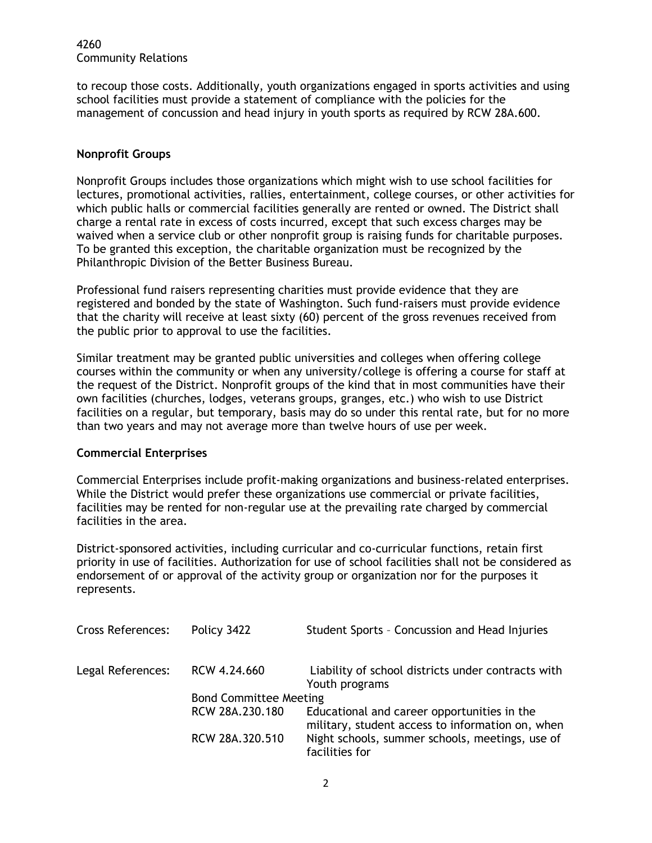4260 Community Relations

to recoup those costs. Additionally, youth organizations engaged in sports activities and using school facilities must provide a statement of compliance with the policies for the management of concussion and head injury in youth sports as required by RCW 28A.600.

## **Nonprofit Groups**

Nonprofit Groups includes those organizations which might wish to use school facilities for lectures, promotional activities, rallies, entertainment, college courses, or other activities for which public halls or commercial facilities generally are rented or owned. The District shall charge a rental rate in excess of costs incurred, except that such excess charges may be waived when a service club or other nonprofit group is raising funds for charitable purposes. To be granted this exception, the charitable organization must be recognized by the Philanthropic Division of the Better Business Bureau.

Professional fund raisers representing charities must provide evidence that they are registered and bonded by the state of Washington. Such fund-raisers must provide evidence that the charity will receive at least sixty (60) percent of the gross revenues received from the public prior to approval to use the facilities.

Similar treatment may be granted public universities and colleges when offering college courses within the community or when any university/college is offering a course for staff at the request of the District. Nonprofit groups of the kind that in most communities have their own facilities (churches, lodges, veterans groups, granges, etc.) who wish to use District facilities on a regular, but temporary, basis may do so under this rental rate, but for no more than two years and may not average more than twelve hours of use per week.

## **Commercial Enterprises**

Commercial Enterprises include profit-making organizations and business-related enterprises. While the District would prefer these organizations use commercial or private facilities, facilities may be rented for non-regular use at the prevailing rate charged by commercial facilities in the area.

District-sponsored activities, including curricular and co-curricular functions, retain first priority in use of facilities. Authorization for use of school facilities shall not be considered as endorsement of or approval of the activity group or organization nor for the purposes it represents.

| <b>Cross References:</b> | Policy 3422                   | Student Sports - Concussion and Head Injuries                                                   |
|--------------------------|-------------------------------|-------------------------------------------------------------------------------------------------|
| Legal References:        | RCW 4.24.660                  | Liability of school districts under contracts with<br>Youth programs                            |
|                          | <b>Bond Committee Meeting</b> |                                                                                                 |
|                          | RCW 28A.230.180               | Educational and career opportunities in the<br>military, student access to information on, when |
|                          | RCW 28A.320.510               | Night schools, summer schools, meetings, use of<br>facilities for                               |